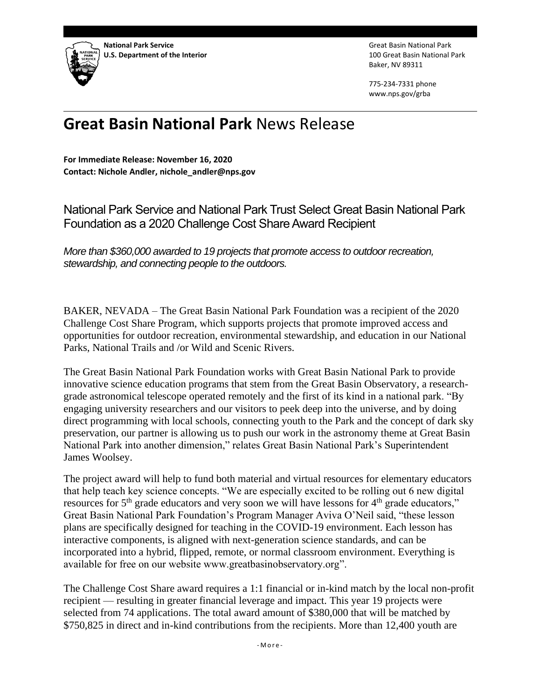

Great Basin National Park 100 Great Basin National Park Baker, NV 89311

775-234-7331 phone www.nps.gov/grba

# **Great Basin National Park** News Release

**For Immediate Release: November 16, 2020 Contact: Nichole Andler, nichole\_andler@nps.gov**

National Park Service and National Park Trust Select Great Basin National Park Foundation as a 2020 Challenge Cost Share Award Recipient

*More than \$360,000 awarded to 19 projects that promote access to outdoor recreation, stewardship, and connecting people to the outdoors.*

BAKER, NEVADA – The Great Basin National Park Foundation was a recipient of the 2020 Challenge Cost Share Program, which supports projects that promote improved access and opportunities for outdoor recreation, environmental stewardship, and education in our National Parks, National Trails and /or Wild and Scenic Rivers.

The Great Basin National Park Foundation works with Great Basin National Park to provide innovative science education programs that stem from the Great Basin Observatory, a researchgrade astronomical telescope operated remotely and the first of its kind in a national park. "By engaging university researchers and our visitors to peek deep into the universe, and by doing direct programming with local schools, connecting youth to the Park and the concept of dark sky preservation, our partner is allowing us to push our work in the astronomy theme at Great Basin National Park into another dimension," relates Great Basin National Park's Superintendent James Woolsey.

The project award will help to fund both material and virtual resources for elementary educators that help teach key science concepts. "We are especially excited to be rolling out 6 new digital resources for  $5<sup>th</sup>$  grade educators and very soon we will have lessons for  $4<sup>th</sup>$  grade educators," Great Basin National Park Foundation's Program Manager Aviva O'Neil said, "these lesson plans are specifically designed for teaching in the COVID-19 environment. Each lesson has interactive components, is aligned with next-generation science standards, and can be incorporated into a hybrid, flipped, remote, or normal classroom environment. Everything is available for free on our website www.greatbasinobservatory.org".

The Challenge Cost Share award requires a 1:1 financial or in-kind match by the local non-profit recipient — resulting in greater financial leverage and impact. This year 19 projects were selected from 74 applications. The total award amount of \$380,000 that will be matched by \$750,825 in direct and in-kind contributions from the recipients. More than 12,400 youth are